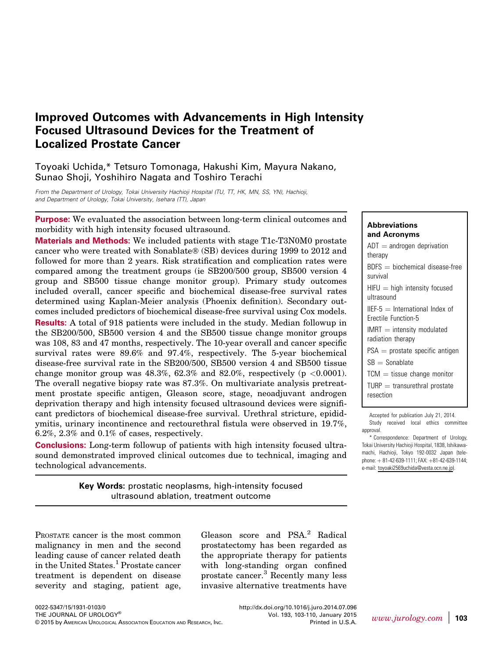# Improved Outcomes with Advancements in High Intensity Focused Ultrasound Devices for the Treatment of Localized Prostate Cancer

Toyoaki Uchida,\* Tetsuro Tomonaga, Hakushi Kim, Mayura Nakano, Sunao Shoji, Yoshihiro Nagata and Toshiro Terachi

From the Department of Urology, Tokai University Hachioji Hospital (TU, TT, HK, MN, SS, YN), Hachioji, and Department of Urology, Tokai University, Isehara (TT), Japan

Purpose: We evaluated the association between long-term clinical outcomes and morbidity with high intensity focused ultrasound.

Materials and Methods: We included patients with stage T1c-T3N0M0 prostate cancer who were treated with Sonablate® (SB) devices during 1999 to 2012 and followed for more than 2 years. Risk stratification and complication rates were compared among the treatment groups (ie SB200/500 group, SB500 version 4 group and SB500 tissue change monitor group). Primary study outcomes included overall, cancer specific and biochemical disease-free survival rates determined using Kaplan-Meier analysis (Phoenix definition). Secondary outcomes included predictors of biochemical disease-free survival using Cox models.

Results: A total of 918 patients were included in the study. Median followup in the SB200/500, SB500 version 4 and the SB500 tissue change monitor groups was 108, 83 and 47 months, respectively. The 10-year overall and cancer specific survival rates were 89.6% and 97.4%, respectively. The 5-year biochemical disease-free survival rate in the SB200/500, SB500 version 4 and SB500 tissue change monitor group was  $48.3\%$ ,  $62.3\%$  and  $82.0\%$ , respectively (p <0.0001). The overall negative biopsy rate was 87.3%. On multivariate analysis pretreatment prostate specific antigen, Gleason score, stage, neoadjuvant androgen deprivation therapy and high intensity focused ultrasound devices were significant predictors of biochemical disease-free survival. Urethral stricture, epididymitis, urinary incontinence and rectourethral fistula were observed in 19.7%, 6.2%, 2.3% and 0.1% of cases, respectively.

Conclusions: Long-term followup of patients with high intensity focused ultrasound demonstrated improved clinical outcomes due to technical, imaging and technological advancements.

> Key Words: prostatic neoplasms, high-intensity focused ultrasound ablation, treatment outcome

PROSTATE cancer is the most common malignancy in men and the second leading cause of cancer related death in the United States.<sup>1</sup> Prostate cancer treatment is dependent on disease severity and staging, patient age, Gleason score and PSA.[2](#page-6-0) Radical prostatectomy has been regarded as the appropriate therapy for patients with long-standing organ confined prostate cancer.<sup>[3](#page-6-0)</sup> Recently many less invasive alternative treatments have

Abbreviations and Acronyms  $ADT = androgen\,$ therapy  $BDFS = biochemical disease-free$ survival  $HIFU = high$  intensity focused ultrasound  $IIEF-5 = International Index of$ Erectile Function-5  $IMRT =$  intensity modulated radiation therapy  $PSA =$  prostate specific antigen  $SB =$  Sonablate  $TCM = t$  tissue change monitor  $TURP = transurethral prostate$ resection

Accepted for publication July 21, 2014. Study received local ethics committee approval.

\* Correspondence: Department of Urology, Tokai University Hachioji Hospital, 1838, Ishikawamachi, Hachioji, Tokyo 192-0032 Japan (telephone:  $+81-42-639-1111$ ; FAX:  $+81-42-639-1144$ ; e-mail: [toyoaki2569uchida@vesta.ocn.ne.jp\)](mailto:toyoaki2569uchida@vesta.ocn.ne.jp).

<http://dx.doi.org/10.1016/j.juro.2014.07.096> Vol. 193, 103-110, January 2015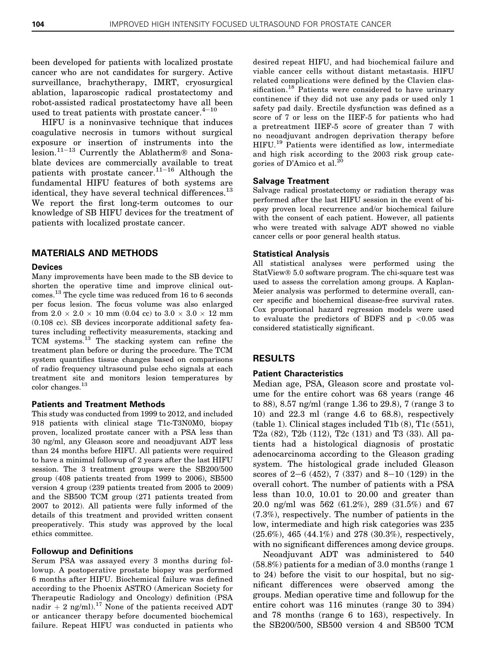been developed for patients with localized prostate cancer who are not candidates for surgery. Active surveillance, brachytherapy, IMRT, cryosurgical ablation, laparoscopic radical prostatectomy and robot-assisted radical prostatectomy have all been used to treat patients with prostate cancer. $4^{-10}$  $4^{-10}$  $4^{-10}$  $4^{-10}$ 

HIFU is a noninvasive technique that induces coagulative necrosis in tumors without surgical exposure or insertion of instruments into the lesion.<sup>[11](#page-7-0)-[13](#page-7-0)</sup> Currently the Ablatherm® and Sonablate devices are commercially available to treat patients with prostate cancer.<sup>[11](#page-7-0)-[16](#page-7-0)</sup> Although the fundamental HIFU features of both systems are identical, they have several technical differences.<sup>[13](#page-7-0)</sup> We report the first long-term outcomes to our knowledge of SB HIFU devices for the treatment of patients with localized prostate cancer.

# MATERIALS AND METHODS

### Devices

Many improvements have been made to the SB device to shorten the operative time and improve clinical outcomes.[13](#page-7-0) The cycle time was reduced from 16 to 6 seconds per focus lesion. The focus volume was also enlarged from  $2.0 \times 2.0 \times 10$  mm (0.04 cc) to  $3.0 \times 3.0 \times 12$  mm (0.108 cc). SB devices incorporate additional safety features including reflectivity measurements, stacking and TCM systems.[13](#page-7-0) The stacking system can refine the treatment plan before or during the procedure. The TCM system quantifies tissue changes based on comparisons of radio frequency ultrasound pulse echo signals at each treatment site and monitors lesion temperatures by color changes.<sup>[13](#page-7-0)</sup>

### Patients and Treatment Methods

This study was conducted from 1999 to 2012, and included 918 patients with clinical stage T1c-T3N0M0, biopsy proven, localized prostate cancer with a PSA less than 30 ng/ml, any Gleason score and neoadjuvant ADT less than 24 months before HIFU. All patients were required to have a minimal followup of 2 years after the last HIFU session. The 3 treatment groups were the SB200/500 group (408 patients treated from 1999 to 2006), SB500 version 4 group (239 patients treated from 2005 to 2009) and the SB500 TCM group (271 patients treated from 2007 to 2012). All patients were fully informed of the details of this treatment and provided written consent preoperatively. This study was approved by the local ethics committee.

### Followup and Definitions

Serum PSA was assayed every 3 months during followup. A postoperative prostate biopsy was performed 6 months after HIFU. Biochemical failure was defined according to the Phoenix ASTRO (American Society for Therapeutic Radiology and Oncology) definition (PSA nadir + 2 ng/ml).<sup>[17](#page-7-0)</sup> None of the patients received ADT or anticancer therapy before documented biochemical failure. Repeat HIFU was conducted in patients who

desired repeat HIFU, and had biochemical failure and viable cancer cells without distant metastasis. HIFU related complications were defined by the Clavien clas-sification.<sup>[18](#page-7-0)</sup> Patients were considered to have urinary continence if they did not use any pads or used only 1 safety pad daily. Erectile dysfunction was defined as a score of 7 or less on the IIEF-5 for patients who had a pretreatment IIEF-5 score of greater than 7 with no neoadjuvant androgen deprivation therapy before HIFU.[19](#page-7-0) Patients were identified as low, intermediate and high risk according to the 2003 risk group cate-gories of D'Amico et al.<sup>[20](#page-7-0)</sup>

#### Salvage Treatment

Salvage radical prostatectomy or radiation therapy was performed after the last HIFU session in the event of biopsy proven local recurrence and/or biochemical failure with the consent of each patient. However, all patients who were treated with salvage ADT showed no viable cancer cells or poor general health status.

#### Statistical Analysis

All statistical analyses were performed using the StatView<sup>®</sup> 5.0 software program. The chi-square test was used to assess the correlation among groups. A Kaplan-Meier analysis was performed to determine overall, cancer specific and biochemical disease-free survival rates. Cox proportional hazard regression models were used to evaluate the predictors of BDFS and  $p < 0.05$  was considered statistically significant.

### RESULTS

### Patient Characteristics

Median age, PSA, Gleason score and prostate volume for the entire cohort was 68 years (range 46 to 88), 8.57 ng/ml (range 1.36 to 29.8), 7 (range 3 to 10) and 22.3 ml (range 4.6 to 68.8), respectively [\(table 1](#page-2-0)). Clinical stages included T1b (8), T1c (551), T2a (82), T2b (112), T2c (131) and T3 (33). All patients had a histological diagnosis of prostatic adenocarcinoma according to the Gleason grading system. The histological grade included Gleason scores of  $2-6$  (452), 7 (337) and  $8-10$  (129) in the overall cohort. The number of patients with a PSA less than 10.0, 10.01 to 20.00 and greater than 20.0 ng/ml was 562 (61.2%), 289 (31.5%) and 67 (7.3%), respectively. The number of patients in the low, intermediate and high risk categories was 235 (25.6%), 465 (44.1%) and 278 (30.3%), respectively, with no significant differences among device groups.

Neoadjuvant ADT was administered to 540 (58.8%) patients for a median of 3.0 months (range 1 to 24) before the visit to our hospital, but no significant differences were observed among the groups. Median operative time and followup for the entire cohort was 116 minutes (range 30 to 394) and 78 months (range 6 to 163), respectively. In the SB200/500, SB500 version 4 and SB500 TCM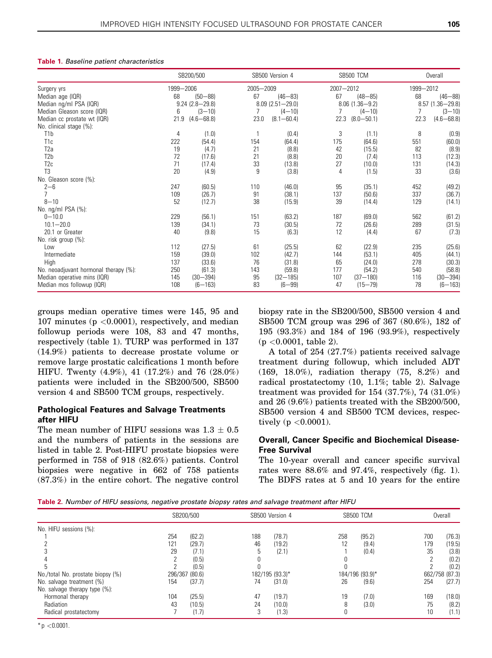#### <span id="page-2-0"></span>Table 1. Baseline patient characteristics

|                                       | SB200/500<br>1999-2006 |                    |      | SB500 Version 4<br>2005-2009 |      | SB500 TCM<br>2007-2012 |      | Overall<br>1999-2012 |  |
|---------------------------------------|------------------------|--------------------|------|------------------------------|------|------------------------|------|----------------------|--|
| Surgery yrs                           |                        |                    |      |                              |      |                        |      |                      |  |
| Median age (IQR)                      | 68                     | $(50 - 88)$        | 67   | $(46 - 83)$                  | 67   | $(48 - 85)$            | 68   | $(46 - 88)$          |  |
| Median ng/ml PSA (IQR)                |                        | $9.24(2.8 - 29.8)$ |      | $8.09$ $(2.51 - 29.0)$       |      | $8.06$ $(1.36 - 9.2)$  |      | $8.57(1.36 - 29.8)$  |  |
| Median Gleason score (IQR)            | 6                      | $(3 - 10)$         |      | $(4 - 10)$                   |      | $(4 - 10)$             |      | $(3 - 10)$           |  |
| Median cc prostate wt (IQR)           | 21.9                   | $(4.6 - 68.8)$     | 23.0 | $(8.1 - 60.4)$               | 22.3 | $(8.0 - 50.1)$         | 22.3 | $(4.6 - 68.8)$       |  |
| No. clinical stage (%):               |                        |                    |      |                              |      |                        |      |                      |  |
| T <sub>1</sub> b                      | 4                      | (1.0)              |      | (0.4)                        | 3    | (1.1)                  | 8    | (0.9)                |  |
| T <sub>1c</sub>                       | 222                    | (54.4)             | 154  | (64.4)                       | 175  | (64.6)                 | 551  | (60.0)               |  |
| T <sub>2a</sub>                       | 19                     | (4.7)              | 21   | (8.8)                        | 42   | (15.5)                 | 82   | (8.9)                |  |
| T <sub>2</sub> b                      | 72                     | (17.6)             | 21   | (8.8)                        | 20   | (7.4)                  | 113  | (12.3)               |  |
| T <sub>2c</sub>                       | 71                     | (17.4)             | 33   | (13.8)                       | 27   | (10.0)                 | 131  | (14.3)               |  |
| T <sub>3</sub>                        | 20                     | (4.9)              | 9    | (3.8)                        | 4    | (1.5)                  | 33   | (3.6)                |  |
| No. Gleason score (%):                |                        |                    |      |                              |      |                        |      |                      |  |
| $2 - 6$                               | 247                    | (60.5)             | 110  | (46.0)                       | 95   | (35.1)                 | 452  | (49.2)               |  |
|                                       | 109                    | (26.7)             | 91   | (38.1)                       | 137  | (50.6)                 | 337  | (36.7)               |  |
| $8 - 10$                              | 52                     | (12.7)             | 38   | (15.9)                       | 39   | (14.4)                 | 129  | (14.1)               |  |
| No. ng/ml PSA (%):                    |                        |                    |      |                              |      |                        |      |                      |  |
| $0 - 10.0$                            | 229                    | (56.1)             | 151  | (63.2)                       | 187  | (69.0)                 | 562  | (61.2)               |  |
| $10.1 - 20.0$                         | 139                    | (34.1)             | 73   | (30.5)                       | 72   | (26.6)                 | 289  | (31.5)               |  |
| 20.1 or Greater                       | 40                     | (9.8)              | 15   | (6.3)                        | 12   | (4.4)                  | 67   | (7.3)                |  |
| No. risk group (%):                   |                        |                    |      |                              |      |                        |      |                      |  |
| Low                                   | 112                    | (27.5)             | 61   | (25.5)                       | 62   | (22.9)                 | 235  | (25.6)               |  |
| Intermediate                          | 159                    | (39.0)             | 102  | (42.7)                       | 144  | (53.1)                 | 405  | (44.1)               |  |
| High                                  | 137                    | (33.6)             | 76   | (31.8)                       | 65   | (24.0)                 | 278  | (30.3)               |  |
| No. neoadjuvant hormonal therapy (%): | 250                    | (61.3)             | 143  | (59.8)                       | 177  | (54.2)                 | 540  | (58.8)               |  |
| Median operative mins (IQR)           | 145                    | $(30 - 394)$       | 95   | $(32 - 185)$                 | 107  | $(37 - 180)$           | 116  | $(30 - 394)$         |  |
| Median mos followup (IQR)             | 108                    | $(6 - 163)$        | 83   | $(6 - 99)$                   | 47   | $(15 - 79)$            | 78   | $(6 - 163)$          |  |

groups median operative times were 145, 95 and 107 minutes ( $p < 0.0001$ ), respectively, and median followup periods were 108, 83 and 47 months, respectively (table 1). TURP was performed in 137 (14.9%) patients to decrease prostate volume or remove large prostatic calcifications 1 month before HIFU. Twenty (4.9%), 41 (17.2%) and 76 (28.0%) patients were included in the SB200/500, SB500 version 4 and SB500 TCM groups, respectively.

# Pathological Features and Salvage Treatments after HIFU

The mean number of HIFU sessions was  $1.3 \pm 0.5$ and the numbers of patients in the sessions are listed in table 2. Post-HIFU prostate biopsies were performed in 758 of 918 (82.6%) patients. Control biopsies were negative in 662 of 758 patients (87.3%) in the entire cohort. The negative control biopsy rate in the SB200/500, SB500 version 4 and SB500 TCM group was 296 of 367 (80.6%), 182 of 195 (93.3%) and 184 of 196 (93.9%), respectively (p <0.0001, table 2).

A total of 254 (27.7%) patients received salvage treatment during followup, which included ADT (169, 18.0%), radiation therapy (75, 8.2%) and radical prostatectomy (10, 1.1%; table 2). Salvage treatment was provided for  $154 (37.7\%)$ ,  $74 (31.0\%)$ and 26 (9.6%) patients treated with the SB200/500, SB500 version 4 and SB500 TCM devices, respectively ( $p < 0.0001$ ).

# Overall, Cancer Specific and Biochemical Disease-Free Survival

The 10-year overall and cancer specific survival rates were 88.6% and 97.4%, respectively [\(fig. 1\)](#page-3-0). The BDFS rates at 5 and 10 years for the entire

Table 2. Number of HIFU sessions, negative prostate biopsy rates and salvage treatment after HIFU

|                                   | SB200/500      |        |     | SB500 Version 4 |     | SB500 TCM       |     | Overall        |
|-----------------------------------|----------------|--------|-----|-----------------|-----|-----------------|-----|----------------|
| No. HIFU sessions (%):            |                |        |     |                 |     |                 |     |                |
|                                   | 254            | (62.2) | 188 | (78.7)          | 258 | (95.2)          | 700 | (76.3)         |
|                                   | 121            | (29.7) | 46  | (19.2)          | 12  | (9.4)           | 179 | (19.5)         |
|                                   | 29             | (7.1)  | .5  | (2.1)           |     | (0.4)           | 35  | (3.8)          |
|                                   |                | (0.5)  |     |                 |     |                 |     | (0.2)          |
|                                   |                | (0.5)  |     |                 | O   |                 |     | (0.2)          |
| No./total No. prostate biopsy (%) | 296/367 (80.6) |        |     | 182/195 (93.3)* |     | 184/196 (93.9)* |     | 662/758 (87.3) |
| No. salvage treatment (%)         | 154            | (37.7) | 74  | (31.0)          | 26  | (9.6)           | 254 | (27.7)         |
| No. salvage therapy type (%):     |                |        |     |                 |     |                 |     |                |
| Hormonal therapy                  | 104            | (25.5) | 47  | (19.7)          | 19  | (7.0)           | 169 | (18.0)         |
| Radiation                         | 43             | (10.5) | 24  | (10.0)          | 8   | (3.0)           | 75  | (8.2)          |
| Radical prostatectomy             |                | (1.7)  |     | (1.3)           | 0   |                 | 10  | (1.1)          |

 $*$  p  $<$  0.0001.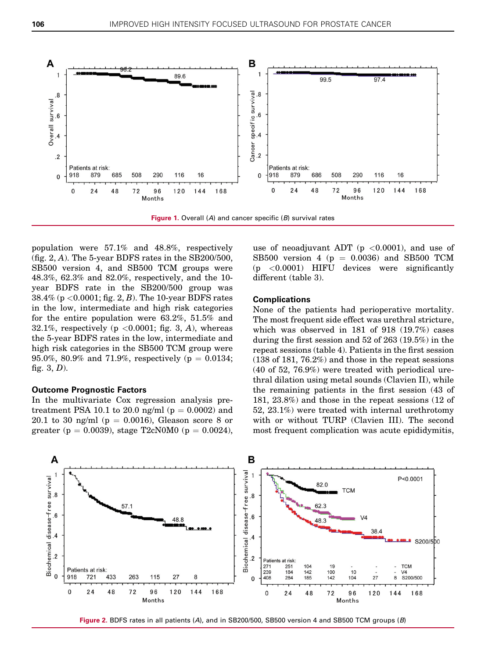<span id="page-3-0"></span>

population were 57.1% and 48.8%, respectively (fig. 2, A). The 5-year BDFS rates in the  $SB200/500$ , SB500 version 4, and SB500 TCM groups were 48.3%, 62.3% and 82.0%, respectively, and the 10 year BDFS rate in the SB200/500 group was  $38.4\%$  (p < 0.0001; fig. 2, B). The 10-year BDFS rates in the low, intermediate and high risk categories for the entire population were 63.2%, 51.5% and 32.1%, respectively ( $p \lt 0.0001$ ; [fig. 3](#page-4-0), A), whereas the 5-year BDFS rates in the low, intermediate and high risk categories in the SB500 TCM group were 95.0%, 80.9% and 71.9%, respectively ( $p = 0.0134$ ; fig.  $3, D$ ).

#### Outcome Prognostic Factors

In the multivariate Cox regression analysis pretreatment PSA 10.1 to 20.0 ng/ml ( $p = 0.0002$ ) and 20.1 to 30 ng/ml ( $p = 0.0016$ ), Gleason score 8 or greater (p = 0.0039), stage T2cN0M0 (p = 0.0024), use of neoadjuvant ADT ( $p < 0.0001$ ), and use of SB500 version 4 ( $p = 0.0036$ ) and SB500 TCM  $(p \leq 0.0001)$  HIFU devices were significantly different [\(table 3](#page-4-0)).

### Complications

None of the patients had perioperative mortality. The most frequent side effect was urethral stricture, which was observed in 181 of 918 (19.7%) cases during the first session and 52 of 263 (19.5%) in the repeat sessions [\(table 4\)](#page-5-0). Patients in the first session (138 of 181, 76.2%) and those in the repeat sessions (40 of 52, 76.9%) were treated with periodical urethral dilation using metal sounds (Clavien II), while the remaining patients in the first session (43 of 181, 23.8%) and those in the repeat sessions (12 of 52, 23.1%) were treated with internal urethrotomy with or without TURP (Clavien III). The second most frequent complication was acute epididymitis,



Figure 2. BDFS rates in all patients (A), and in SB200/500, SB500 version 4 and SB500 TCM groups (B)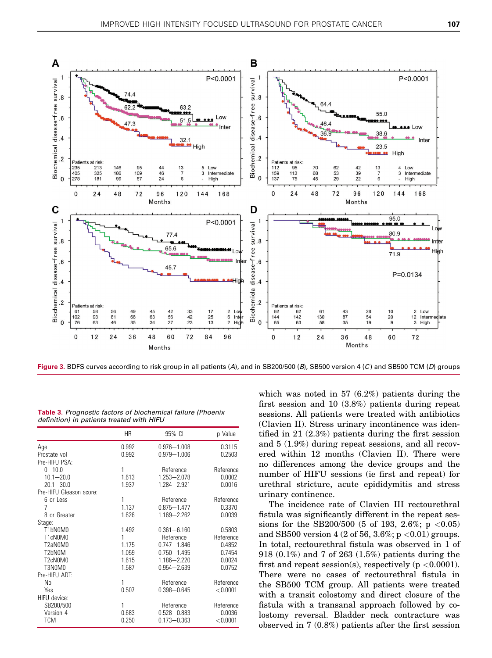<span id="page-4-0"></span>

Figure 3. BDFS curves according to risk group in all patients (A), and in SB200/500 (B), SB500 version 4 (C) and SB500 TCM (D) groups

Table 3. Prognostic factors of biochemical failure (Phoenix definition) in patients treated with HIFU

|                         | ΗR    | 95% CI          | p Value    |
|-------------------------|-------|-----------------|------------|
| Age                     | 0.992 | $0.976 - 1.008$ | 0.3115     |
| Prostate vol            | 0.992 | $0.979 - 1.006$ | 0.2503     |
| Pre-HIFU PSA:           |       |                 |            |
| $0 - 10.0$              | 1     | Reference       | Reference  |
| $10.1 - 20.0$           | 1.613 | 1.253-2.078     | 0.0002     |
| $20.1 - 30.0$           | 1.937 | 1.284-2.921     | 0.0016     |
| Pre-HIFU Gleason score: |       |                 |            |
| 6 or Less               | 1     | Reference       | Reference  |
| 7                       | 1.137 | $0.875 - 1.477$ | 0.3370     |
| 8 or Greater            | 1.626 | 1.169-2.262     | 0.0039     |
| Stage:                  |       |                 |            |
| T1bN0M0                 | 1.492 | $0.361 - 6.160$ | 0.5803     |
| T1cN0M0                 | 1     | Reference       | Reference  |
| T2aN0M0                 | 1.175 | $0.747 - 1.846$ | 0.4852     |
| T2bN0M                  | 1.059 | $0.750 - 1.495$ | 0.7454     |
| T2cN0M0                 | 1.615 | 1.186-2.220     | 0.0024     |
| T3N0M0                  | 1.587 | $0.954 - 2.639$ | 0.0752     |
| Pre-HIFU ADT:           |       |                 |            |
| No                      | 1     | Reference       | Reference  |
| Yes                     | 0.507 | $0.398 - 0.645$ | < 0.0001   |
| HIFU device:            |       |                 |            |
| SB200/500               | 1     | Reference       | Reference  |
| Version 4               | 0.683 | $0.528 - 0.883$ | 0.0036     |
| <b>TCM</b>              | 0.250 | $0.173 - 0.363$ | $<$ 0.0001 |

which was noted in 57 (6.2%) patients during the first session and 10 (3.8%) patients during repeat sessions. All patients were treated with antibiotics (Clavien II). Stress urinary incontinence was identified in 21 (2.3%) patients during the first session and 5 (1.9%) during repeat sessions, and all recovered within 12 months (Clavien II). There were no differences among the device groups and the number of HIFU sessions (ie first and repeat) for urethral stricture, acute epididymitis and stress urinary continence.

The incidence rate of Clavien III rectourethral fistula was significantly different in the repeat sessions for the SB200/500 (5 of 193, 2.6%; p <0.05) and SB500 version 4 (2 of 56, 3.6%;  $p < 0.01$ ) groups. In total, rectourethral fistula was observed in 1 of 918 (0.1%) and 7 of 263 (1.5%) patients during the first and repeat session(s), respectively ( $p < 0.0001$ ). There were no cases of rectourethral fistula in the SB500 TCM group. All patients were treated with a transit colostomy and direct closure of the fistula with a transanal approach followed by colostomy reversal. Bladder neck contracture was observed in 7 (0.8%) patients after the first session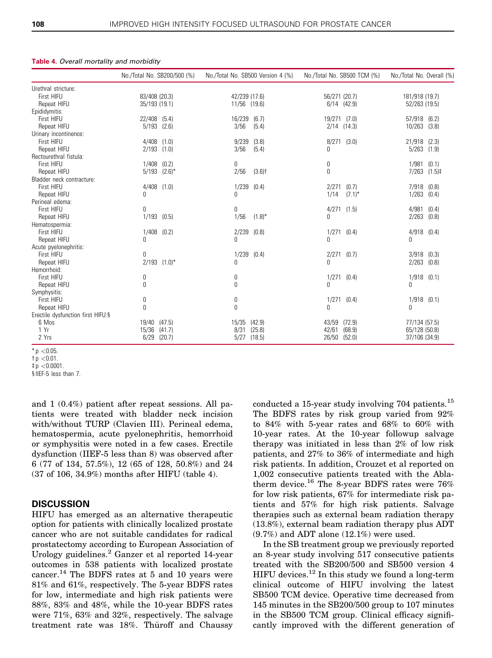|                                    | No./Total No. SB200/500 (%) | No./Total No. SB500 Version 4 (%) | No./Total No. SB500 TCM (%) | No./Total No. Overall (%) |
|------------------------------------|-----------------------------|-----------------------------------|-----------------------------|---------------------------|
| Urethral stricture:                |                             |                                   |                             |                           |
| First HIFU                         | 83/408 (20.3)               | 42/239 (17.6)                     | 56/271 (20.7)               | 181/918 (19.7)            |
| Repeat HIFU                        | 35/193 (19.1)               | 11/56<br>(19.6)                   | $6/14$ $(42.9)$             | 52/263 (19.5)             |
| Epididymitis:                      |                             |                                   |                             |                           |
| First HIFU                         | 22/408<br>(5.4)             | 16/239<br>(6.7)                   | 19/271 (7.0)                | 57/918 (6.2)              |
| Repeat HIFU                        | 5/193<br>(2.6)              | 3/56<br>(5.4)                     | $2/14$ $(14.3)$             | 10/263<br>(3.8)           |
| Urinary incontinence:              |                             |                                   |                             |                           |
| First HIFU                         | 4/408<br>(1.0)              | 9/239<br>(3.8)                    | (3.0)<br>8/271              | 21/918<br>(2.3)           |
| Repeat HIFU                        | 2/193<br>(1.0)              | 3/56<br>(5.4)                     | 0                           | 5/263<br>(1.9)            |
| Rectourethral fistula:             |                             |                                   |                             |                           |
| First HIFU                         | 1/408<br>(0.2)              | 0                                 | 0                           | 1/981<br>(0.1)            |
| Repeat HIFU                        | 5/193<br>$(2.6)^*$          | 2/56<br>$(3.6)$ <sup>†</sup>      | $\mathbf{0}$                | 7/263<br>$(1.5)$ ‡        |
| Bladder neck contracture:          |                             |                                   |                             |                           |
| First HIFU                         | $4/408$ $(1.0)$             | 1/239<br>(0.4)                    | (0.7)<br>2/271              | 7/918<br>(0.8)            |
| Repeat HIFU                        | 0                           | $\mathbf{0}$                      | $(7.1)^*$<br>1/14           | 1/263<br>(0.4)            |
| Perineal edema:                    |                             |                                   |                             |                           |
| First HIFU                         | 0                           | $\mathbf{0}$                      | 4/271<br>(1.5)              | 4/981<br>(0.4)            |
| Repeat HIFU                        | 1/193<br>(0.5)              | $(1.8)^*$<br>1/56                 | 0                           | 2/263<br>(0.8)            |
| Hematospermia:                     |                             |                                   |                             |                           |
| First HIFU                         | 1/408<br>(0.2)              | 2/239<br>(0.8)                    | 1/271<br>(0.4)              | 4/918<br>(0.4)            |
| Repeat HIFU                        | N                           | <sup>0</sup>                      | 0                           | Ŋ                         |
| Acute pyelonephritis:              |                             |                                   |                             |                           |
| <b>First HIFU</b>                  | 0                           | 1/239<br>(0.4)                    | 2/271<br>(0.7)              | 3/918<br>(0.3)            |
| Repeat HIFU                        | 2/193<br>$(1.0)^*$          | $\mathbf{0}$                      | 0                           | 2/263<br>(0.8)            |
| Hemorrhoid:                        |                             |                                   |                             |                           |
| First HIFU                         | 0                           | 0                                 | 1/271<br>(0.4)              | 1/918<br>(0.1)            |
| Repeat HIFU                        | 0                           | 0                                 | <sup>0</sup>                | Ŋ                         |
| Symphysitis:                       |                             |                                   |                             |                           |
| First HIFU                         | 0                           | 0                                 | 1/271<br>(0.4)              | $1/918$ $(0.1)$           |
| Repeat HIFU                        | 0                           | $\mathbf{0}$                      | 0                           | 0                         |
| Erectile dysfunction first HIFU: § |                             |                                   |                             |                           |
| 6 Mos                              | (47.5)<br>19/40             | 15/35<br>(42.9)                   | 43/59<br>(72.9)             | 77/134 (57.5)             |
| 1 Yr<br>2 Yrs                      | 15/36<br>(41.7)             | (25.8)<br>8/31                    | (68.9)<br>42/61             | 65/128 (50.8)             |
|                                    | 6/29<br>(20.7)              | (18.5)<br>5/27                    | 26/50 (52.0)                | 37/106 (34.9)             |

### <span id="page-5-0"></span>Table 4. Overall mortality and morbidity

 $tp < 0.0001$ .

§ IIEF-5 less than 7.

and 1 (0.4%) patient after repeat sessions. All patients were treated with bladder neck incision with/without TURP (Clavien III). Perineal edema, hematospermia, acute pyelonephritis, hemorrhoid or symphysitis were noted in a few cases. Erectile dysfunction (IIEF-5 less than 8) was observed after 6 (77 of 134, 57.5%), 12 (65 of 128, 50.8%) and 24 (37 of 106, 34.9%) months after HIFU (table 4).

# **DISCUSSION**

HIFU has emerged as an alternative therapeutic option for patients with clinically localized prostate cancer who are not suitable candidates for radical prostatectomy according to European Association of Urology guidelines.<sup>[2](#page-6-0)</sup> Ganzer et al reported 14-year outcomes in 538 patients with localized prostate cancer.<sup>[14](#page-7-0)</sup> The BDFS rates at 5 and 10 years were 81% and 61%, respectively. The 5-year BDFS rates for low, intermediate and high risk patients were 88%, 83% and 48%, while the 10-year BDFS rates were 71%, 63% and 32%, respectively. The salvage treatment rate was  $18\%$ . Thüroff and Chaussy

conducted a [15](#page-7-0)-year study involving 704 patients.<sup>15</sup> The BDFS rates by risk group varied from 92% to 84% with 5-year rates and 68% to 60% with 10-year rates. At the 10-year followup salvage therapy was initiated in less than 2% of low risk patients, and 27% to 36% of intermediate and high risk patients. In addition, Crouzet et al reported on 1,002 consecutive patients treated with the Abla-therm device.<sup>[16](#page-7-0)</sup> The 8-year BDFS rates were  $76\%$ for low risk patients, 67% for intermediate risk patients and 57% for high risk patients. Salvage therapies such as external beam radiation therapy (13.8%), external beam radiation therapy plus ADT  $(9.7\%)$  and ADT alone  $(12.1\%)$  were used.

In the SB treatment group we previously reported an 8-year study involving 517 consecutive patients treated with the SB200/500 and SB500 version 4 HIFU devices.<sup>12</sup> In this study we found a long-term clinical outcome of HIFU involving the latest SB500 TCM device. Operative time decreased from 145 minutes in the SB200/500 group to 107 minutes in the SB500 TCM group. Clinical efficacy significantly improved with the different generation of

 $*$  p < 0.05.

 $tp < 0.01$ .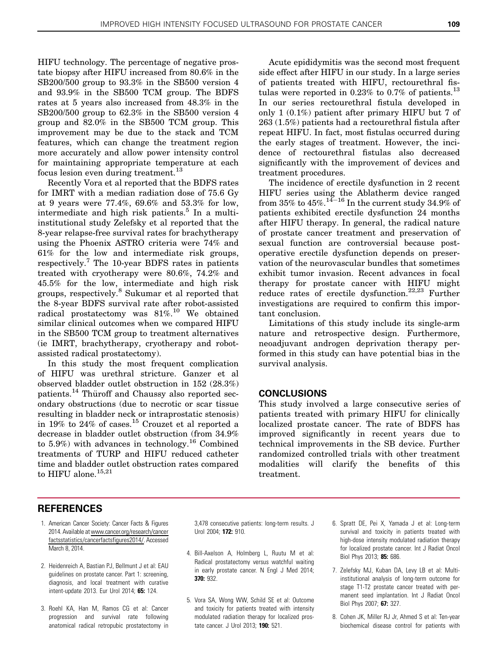<span id="page-6-0"></span>HIFU technology. The percentage of negative prostate biopsy after HIFU increased from 80.6% in the SB200/500 group to 93.3% in the SB500 version 4 and 93.9% in the SB500 TCM group. The BDFS rates at 5 years also increased from 48.3% in the SB200/500 group to 62.3% in the SB500 version 4 group and 82.0% in the SB500 TCM group. This improvement may be due to the stack and TCM features, which can change the treatment region more accurately and allow power intensity control for maintaining appropriate temperature at each focus lesion even during treatment.<sup>[13](#page-7-0)</sup>

Recently Vora et al reported that the BDFS rates for IMRT with a median radiation dose of 75.6 Gy at 9 years were 77.4%, 69.6% and 53.3% for low, intermediate and high risk patients.<sup>5</sup> In a multiinstitutional study Zelefsky et al reported that the 8-year relapse-free survival rates for brachytherapy using the Phoenix ASTRO criteria were 74% and 61% for the low and intermediate risk groups, respectively.<sup>7</sup> The 10-year BDFS rates in patients treated with cryotherapy were 80.6%, 74.2% and 45.5% for the low, intermediate and high risk groups, respectively.<sup>8</sup> Sukumar et al reported that the 8-year BDFS survival rate after robot-assisted radical prostatectomy was  $81\%$ .<sup>[10](#page-7-0)</sup> We obtained similar clinical outcomes when we compared HIFU in the SB500 TCM group to treatment alternatives (ie IMRT, brachytherapy, cryotherapy and robotassisted radical prostatectomy).

In this study the most frequent complication of HIFU was urethral stricture. Ganzer et al observed bladder outlet obstruction in 152 (28.3%) patients.<sup>[14](#page-7-0)</sup> Thüroff and Chaussy also reported secondary obstructions (due to necrotic or scar tissue resulting in bladder neck or intraprostatic stenosis) in 19% to 24% of cases.<sup>[15](#page-7-0)</sup> Crouzet et al reported a decrease in bladder outlet obstruction (from 34.9% to 5.9%) with advances in technology.<sup>[16](#page-7-0)</sup> Combined treatments of TURP and HIFU reduced catheter time and bladder outlet obstruction rates compared to HIFU alone.<sup>[15,21](#page-7-0)</sup>

Acute epididymitis was the second most frequent side effect after HIFU in our study. In a large series of patients treated with HIFU, rectourethral fis-tulas were reported in 0.23% to 0.7% of patients.<sup>[13](#page-7-0)</sup> In our series rectourethral fistula developed in only 1 (0.1%) patient after primary HIFU but 7 of 263 (1.5%) patients had a rectourethral fistula after repeat HIFU. In fact, most fistulas occurred during the early stages of treatment. However, the incidence of rectourethral fistulas also decreased significantly with the improvement of devices and treatment procedures.

The incidence of erectile dysfunction in 2 recent HIFU series using the Ablatherm device ranged from  $35\%$  to  $45\%$ . $^{14-16}$  $^{14-16}$  $^{14-16}$  $^{14-16}$  $^{14-16}$  In the current study  $34.9\%$  of patients exhibited erectile dysfunction 24 months after HIFU therapy. In general, the radical nature of prostate cancer treatment and preservation of sexual function are controversial because postoperative erectile dysfunction depends on preservation of the neurovascular bundles that sometimes exhibit tumor invasion. Recent advances in focal therapy for prostate cancer with HIFU might reduce rates of erectile dysfunction.<sup>[22,23](#page-7-0)</sup> Further investigations are required to confirm this important conclusion.

Limitations of this study include its single-arm nature and retrospective design. Furthermore, neoadjuvant androgen deprivation therapy performed in this study can have potential bias in the survival analysis.

# **CONCLUSIONS**

This study involved a large consecutive series of patients treated with primary HIFU for clinically localized prostate cancer. The rate of BDFS has improved significantly in recent years due to technical improvements in the SB device. Further randomized controlled trials with other treatment modalities will clarify the benefits of this treatment.

# REFERENCES

- 1. American Cancer Society: Cancer Facts & Figures 2014. Available at[www.cancer.org/research/cancer](http://www.cancer.org/research/cancerfactsstatistics/cancerfactsfigures2014/) [factsstatistics/cancerfactsfigures2014/](http://www.cancer.org/research/cancerfactsstatistics/cancerfactsfigures2014/). Accessed March 8, 2014.
- 2. Heidenreich A, Bastian PJ, Bellmunt J et al: EAU guidelines on prostate cancer. Part 1: screening, diagnosis, and local treatment with curative intent-update 2013. Eur Urol 2014; 65: 124.
- 3. Roehl KA, Han M, Ramos CG et al: Cancer progression and survival rate following anatomical radical retropubic prostatectomy in

3,478 consecutive patients: long-term results. J Urol 2004; 172: 910.

- 4. Bill-Axelson A, Holmberg L, Ruutu M et al: Radical prostatectomy versus watchful waiting in early prostate cancer. N Engl J Med 2014; 370: 932.
- 5. Vora SA, Wong WW, Schild SE et al: Outcome and toxicity for patients treated with intensity modulated radiation therapy for localized prostate cancer. J Urol 2013; 190: 521.
- 6. Spratt DE, Pei X, Yamada J et al: Long-term survival and toxicity in patients treated with high-dose intensity modulated radiation therapy for localized prostate cancer. Int J Radiat Oncol Biol Phys 2013; 85: 686.
- 7. Zelefsky MJ, Kuban DA, Levy LB et al: Multiinstitutional analysis of long-term outcome for stage T1-T2 prostate cancer treated with permanent seed implantation. Int J Radiat Oncol Biol Phys 2007; 67: 327.
- 8. Cohen JK, Miller RJ Jr, Ahmed S et al: Ten-year biochemical disease control for patients with